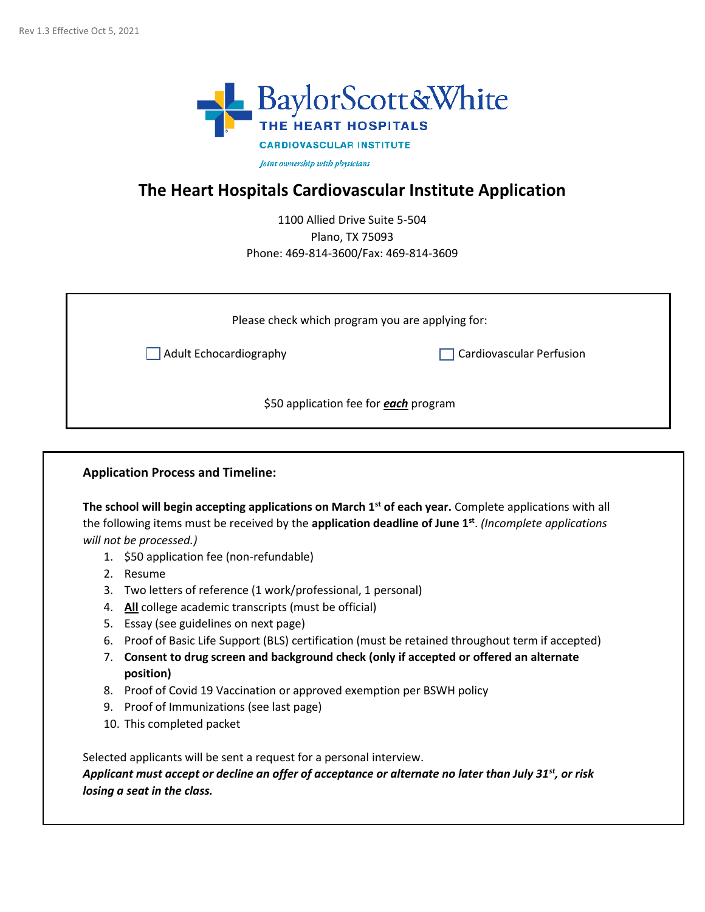

Joint ownership with physicians

### **The Heart Hospitals Cardiovascular Institute Application**

1100 Allied Drive Suite 5-504 Plano, TX 75093 Phone: 469-814-3600/Fax: 469-814-3609

| Please check which program you are applying for: |                          |
|--------------------------------------------------|--------------------------|
| Adult Echocardiography                           | Cardiovascular Perfusion |
| \$50 application fee for each program            |                          |

#### **Application Process and Timeline:**

**The school will begin accepting applications on March 1st of each year.** Complete applications with all the following items must be received by the **application deadline of June 1st** . *(Incomplete applications will not be processed.)*

- 1. \$50 application fee (non-refundable)
- 2. Resume
- 3. Two letters of reference (1 work/professional, 1 personal)
- 4. **All** college academic transcripts (must be official)
- 5. Essay (see guidelines on next page)
- 6. Proof of Basic Life Support (BLS) certification (must be retained throughout term if accepted)
- 7. **Consent to drug screen and background check (only if accepted or offered an alternate position)**
- 8. Proof of Covid 19 Vaccination or approved exemption per BSWH policy
- 9. Proof of Immunizations (see last page)
- 10. This completed packet

Selected applicants will be sent a request for a personal interview.

*Applicant must accept or decline an offer of acceptance or alternate no later than July 31st, or risk losing a seat in the class.*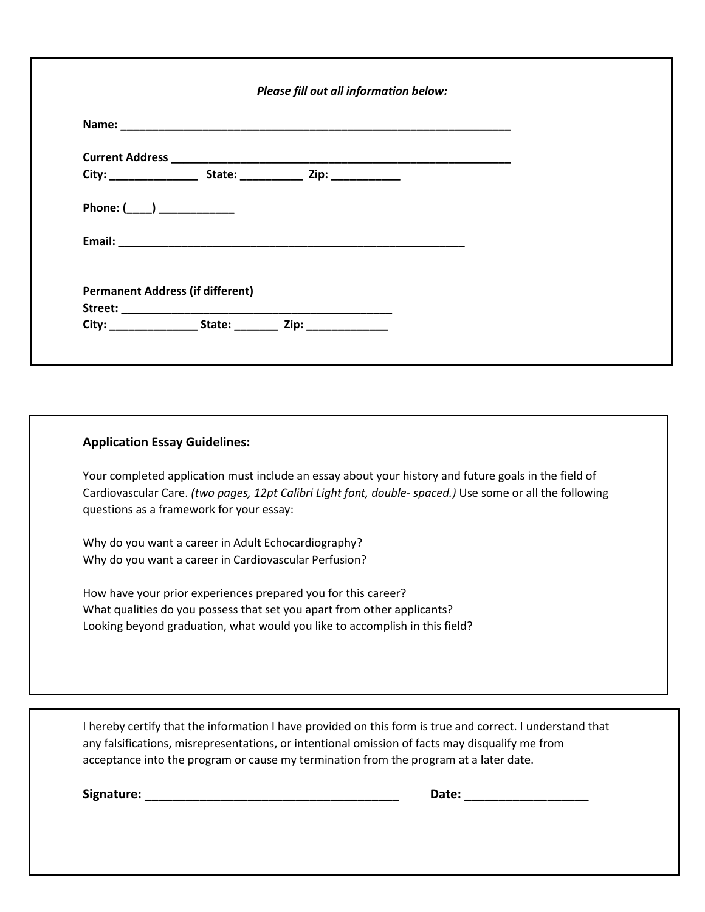| Please fill out all information below: |                                                                                  |  |  |  |  |
|----------------------------------------|----------------------------------------------------------------------------------|--|--|--|--|
|                                        |                                                                                  |  |  |  |  |
|                                        |                                                                                  |  |  |  |  |
|                                        |                                                                                  |  |  |  |  |
|                                        | Phone: $(\_\_)$ ___________                                                      |  |  |  |  |
|                                        |                                                                                  |  |  |  |  |
|                                        |                                                                                  |  |  |  |  |
|                                        | <b>Permanent Address (if different)</b>                                          |  |  |  |  |
|                                        |                                                                                  |  |  |  |  |
|                                        | City: _____________________State: ______________ Zip: __________________________ |  |  |  |  |

#### **Application Essay Guidelines:**

Your completed application must include an essay about your history and future goals in the field of Cardiovascular Care. *(two pages, 12pt Calibri Light font, double- spaced.)* Use some or all the following questions as a framework for your essay:

Why do you want a career in Adult Echocardiography? Why do you want a career in Cardiovascular Perfusion?

How have your prior experiences prepared you for this career? What qualities do you possess that set you apart from other applicants? Looking beyond graduation, what would you like to accomplish in this field?

I hereby certify that the information I have provided on this form is true and correct. I understand that any falsifications, misrepresentations, or intentional omission of facts may disqualify me from acceptance into the program or cause my termination from the program at a later date.

**Signature: \_\_\_\_\_\_\_\_\_\_\_\_\_\_\_\_\_\_\_\_\_\_\_\_\_\_\_\_\_\_\_\_\_\_\_\_\_ Date: \_\_\_\_\_\_\_\_\_\_\_\_\_\_\_\_\_\_**